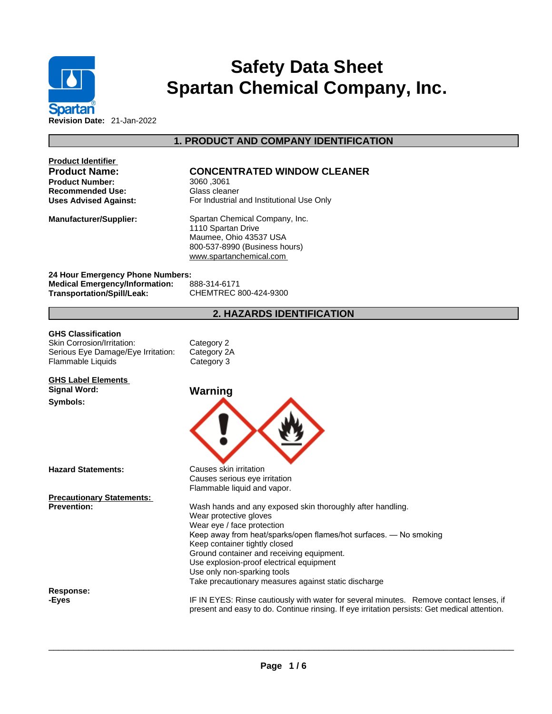

# **Safety Data Sheet Spartan Chemical Company, Inc.**

**Product Identifier**

## **Product Name: CONCENTRATED WINDOW CLEANER**

**1. PRODUCT AND COMPANY IDENTIFICATION** 

**Product Number:** 3060 ,3061 **Recommended Use:** Glass cleaner **Uses Advised Against:** For Industrial and Institutional Use Only

**Manufacturer/Supplier:** Spartan Chemical Company, Inc. 1110 Spartan Drive Maumee, Ohio 43537 USA 800-537-8990 (Business hours) <www.spartanchemical.com>

**24 Hour Emergency Phone Numbers: Medical Emergency/Information:** 888-314-6171 **Transportation/Spill/Leak:** CHEMTREC 800-424-9300

## **2. HAZARDS IDENTIFICATION**

**GHS Classification**<br>
Skin Corrosion/Irritation: Category 2 Skin Corrosion/Irritation: Serious Eye Damage/Eye Irritation: Category 2A Flammable Liquids Category 3

**GHS Label Elements Signal Word: Warning** 

#### **Symbols:**

**Response:** 



Causes serious eye irritation Flammable liquid and vapor.

**Hazard Statements:** Causes skin irritation

**Precautionary Statements:**

**Prevention: Wash hands and any exposed skin thoroughly after handling.** Wear protective gloves Wear eye / face protection Keep away from heat/sparks/open flames/hot surfaces. — No smoking Keep container tightly closed Ground container and receiving equipment. Use explosion-proof electrical equipment Use only non-sparking tools Take precautionary measures against static discharge

**-Eyes** IF IN EYES: Rinse cautiously with water forseveral minutes. Remove contact lenses, if present and easy to do. Continue rinsing. If eye irritation persists: Get medical attention.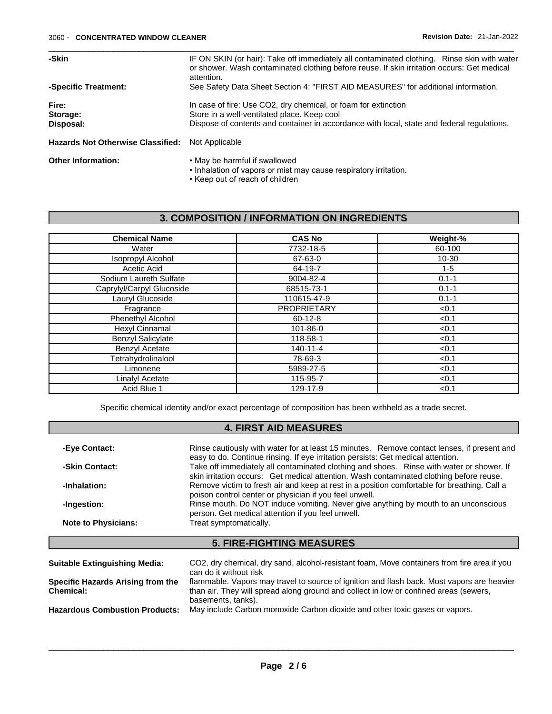| -Skin                                    | IF ON SKIN (or hair): Take off immediately all contaminated clothing. Rinse skin with water<br>or shower. Wash contaminated clothing before reuse. If skin irritation occurs: Get medical<br>attention.     |
|------------------------------------------|-------------------------------------------------------------------------------------------------------------------------------------------------------------------------------------------------------------|
| -Specific Treatment:                     | See Safety Data Sheet Section 4: "FIRST AID MEASURES" for additional information.                                                                                                                           |
| Fire:<br>Storage:<br>Disposal:           | In case of fire: Use CO2, dry chemical, or foam for extinction<br>Store in a well-ventilated place. Keep cool<br>Dispose of contents and container in accordance with local, state and federal regulations. |
| <b>Hazards Not Otherwise Classified:</b> | Not Applicable                                                                                                                                                                                              |
| <b>Other Information:</b>                | • May be harmful if swallowed<br>• Inhalation of vapors or mist may cause respiratory irritation.                                                                                                           |

#### • Keep out of reach of children

## **3. COMPOSITION / INFORMATION ON INGREDIENTS**

| <b>Chemical Name</b>      | <b>CAS No</b>      | Weight-%  |
|---------------------------|--------------------|-----------|
| Water                     | 7732-18-5          | 60-100    |
| <b>Isopropyl Alcohol</b>  | 67-63-0            | $10 - 30$ |
| Acetic Acid               | 64-19-7            | $1 - 5$   |
| Sodium Laureth Sulfate    | 9004-82-4          | $0.1 - 1$ |
| Caprylyl/Carpyl Glucoside | 68515-73-1         | $0.1 - 1$ |
| Lauryl Glucoside          | 110615-47-9        | $0.1 - 1$ |
| Fragrance                 | <b>PROPRIETARY</b> | < 0.1     |
| Phenethyl Alcohol         | $60 - 12 - 8$      | < 0.1     |
| Hexyl Cinnamal            | 101-86-0           | < 0.1     |
| <b>Benzyl Salicylate</b>  | 118-58-1           | < 0.1     |
| <b>Benzyl Acetate</b>     | 140-11-4           | < 0.1     |
| Tetrahydrolinalool        | 78-69-3            | < 0.1     |
| Limonene                  | 5989-27-5          | < 0.1     |
| Linalyl Acetate           | 115-95-7           | < 0.1     |
| Acid Blue 1               | 129-17-9           | < 0.1     |

Specific chemical identity and/or exact percentage of composition has been withheld as a trade secret.

## **4. FIRST AID MEASURES**

| -Eye Contact:              | Rinse cautiously with water for at least 15 minutes. Remove contact lenses, if present and<br>easy to do. Continue rinsing. If eye irritation persists: Get medical attention.      |
|----------------------------|-------------------------------------------------------------------------------------------------------------------------------------------------------------------------------------|
| -Skin Contact:             | Take off immediately all contaminated clothing and shoes. Rinse with water or shower. If<br>skin irritation occurs: Get medical attention. Wash contaminated clothing before reuse. |
| -Inhalation:               | Remove victim to fresh air and keep at rest in a position comfortable for breathing. Call a<br>poison control center or physician if you feel unwell.                               |
| -Ingestion:                | Rinse mouth. Do NOT induce vomiting. Never give anything by mouth to an unconscious<br>person. Get medical attention if you feel unwell.                                            |
| <b>Note to Physicians:</b> | Treat symptomatically.                                                                                                                                                              |
|                            |                                                                                                                                                                                     |

## **5. FIRE-FIGHTING MEASURES**

| <b>Suitable Extinguishing Media:</b>                  | CO2, dry chemical, dry sand, alcohol-resistant foam, Move containers from fire area if you<br>can do it without risk                                                                |
|-------------------------------------------------------|-------------------------------------------------------------------------------------------------------------------------------------------------------------------------------------|
| Specific Hazards Arising from the<br><b>Chemical:</b> | flammable. Vapors may travel to source of ignition and flash back. Most vapors are heavier<br>than air. They will spread along ground and collect in low or confined areas (sewers, |
| <b>Hazardous Combustion Products:</b>                 | basements, tanks).<br>May include Carbon monoxide Carbon dioxide and other toxic gases or vapors.                                                                                   |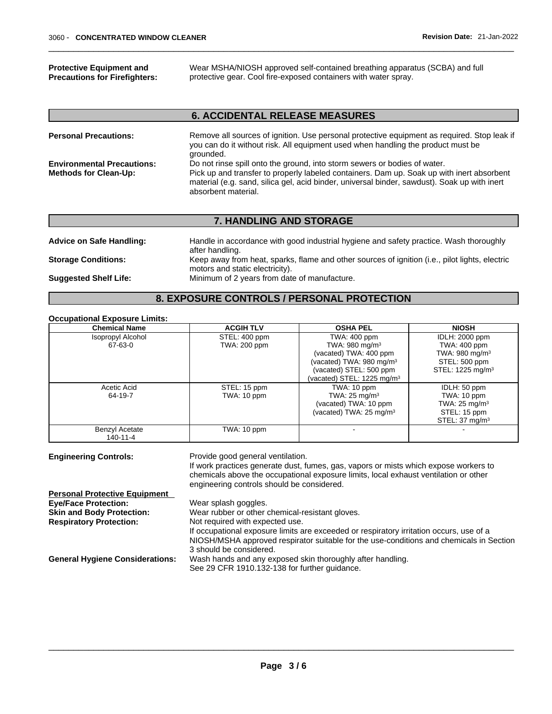**Protective Equipment and Precautions for Firefighters:** Wear MSHA/NIOSH approved self-contained breathing apparatus (SCBA) and full protective gear. Cool fire-exposed containers with water spray.

## **6. ACCIDENTAL RELEASE MEASURES**

| <b>Personal Precautions:</b>                                      | Remove all sources of ignition. Use personal protective equipment as required. Stop leak if<br>you can do it without risk. All equipment used when handling the product must be<br>grounded.                                                                                                  |
|-------------------------------------------------------------------|-----------------------------------------------------------------------------------------------------------------------------------------------------------------------------------------------------------------------------------------------------------------------------------------------|
| <b>Environmental Precautions:</b><br><b>Methods for Clean-Up:</b> | Do not rinse spill onto the ground, into storm sewers or bodies of water.<br>Pick up and transfer to properly labeled containers. Dam up. Soak up with inert absorbent<br>material (e.g. sand, silica gel, acid binder, universal binder, sawdust). Soak up with inert<br>absorbent material. |

#### **7. HANDLING AND STORAGE**

| <b>Advice on Safe Handling:</b> | Handle in accordance with good industrial hygiene and safety practice. Wash thoroughly<br>after handling. |
|---------------------------------|-----------------------------------------------------------------------------------------------------------|
| <b>Storage Conditions:</b>      | Keep away from heat, sparks, flame and other sources of ignition (i.e., pilot lights, electric            |
|                                 | motors and static electricity).                                                                           |
| <b>Suggested Shelf Life:</b>    | Minimum of 2 years from date of manufacture.                                                              |

#### **8. EXPOSURE CONTROLS / PERSONAL PROTECTION**

#### **Occupational Exposure Limits:**

| <b>Chemical Name</b>     | <b>ACGIH TLV</b> | <b>OSHA PEL</b>                        | <b>NIOSH</b>                 |
|--------------------------|------------------|----------------------------------------|------------------------------|
| <b>Isopropyl Alcohol</b> | STEL: 400 ppm    | TWA: 400 ppm                           | <b>IDLH: 2000 ppm</b>        |
| 67-63-0                  | TWA: 200 ppm     | TWA: 980 mg/m $3$                      | TWA: 400 ppm                 |
|                          |                  | (vacated) TWA: 400 ppm                 | TWA: $980 \text{ mg/m}^3$    |
|                          |                  | (vacated) TWA: $980 \text{ mg/m}^3$    | STEL: 500 ppm                |
|                          |                  | (vacated) STEL: 500 ppm                | STEL: 1225 mg/m <sup>3</sup> |
|                          |                  | (vacated) STEL: 1225 mg/m <sup>3</sup> |                              |
| Acetic Acid              | STEL: 15 ppm     | TWA: 10 ppm                            | IDLH: 50 ppm                 |
| 64-19-7                  | TWA: 10 ppm      | TWA: $25 \text{ mg/m}^3$               | TWA: 10 ppm                  |
|                          |                  | (vacated) TWA: 10 ppm                  | TWA: $25 \text{ mg/m}^3$     |
|                          |                  | (vacated) TWA: $25 \text{ mg/m}^3$     | STEL: 15 ppm                 |
|                          |                  |                                        | STEL: $37 \text{ mg/m}^3$    |
| <b>Benzyl Acetate</b>    | TWA: 10 ppm      |                                        |                              |
| 140-11-4                 |                  |                                        |                              |

| <b>Engineering Controls:</b> |  |
|------------------------------|--|

Provide good general ventilation.

If work practices generate dust, fumes, gas, vapors or mists which expose workers to chemicals above the occupational exposure limits, local exhaust ventilation or other engineering controls should be considered.

| <b>Personal Protective Equipment</b>   |                                                                                         |
|----------------------------------------|-----------------------------------------------------------------------------------------|
| <b>Eye/Face Protection:</b>            | Wear splash goggles.                                                                    |
| <b>Skin and Body Protection:</b>       | Wear rubber or other chemical-resistant gloves.                                         |
| <b>Respiratory Protection:</b>         | Not required with expected use.                                                         |
|                                        | If occupational exposure limits are exceeded or respiratory irritation occurs, use of a |
|                                        | NIOSH/MSHA approved respirator suitable for the use-conditions and chemicals in Section |
|                                        | 3 should be considered.                                                                 |
| <b>General Hygiene Considerations:</b> | Wash hands and any exposed skin thoroughly after handling.                              |
|                                        | See 29 CFR 1910.132-138 for further guidance.                                           |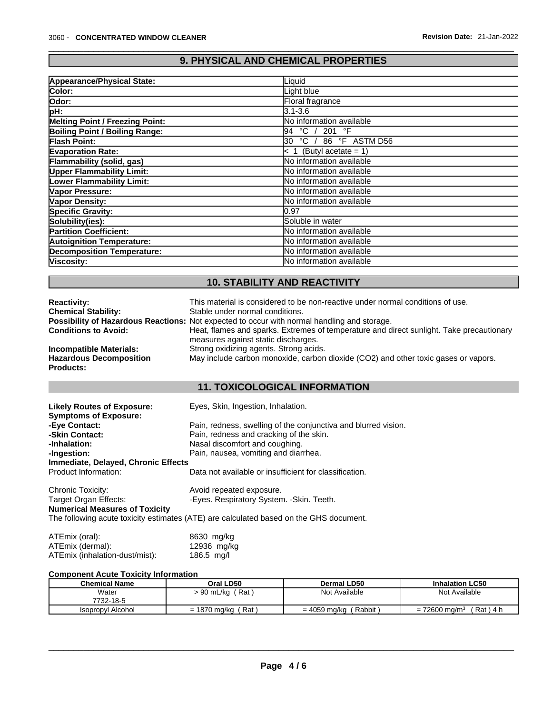## **9. PHYSICAL AND CHEMICAL PROPERTIES**

| Appearance/Physical State:        | Liquid                                   |
|-----------------------------------|------------------------------------------|
| Color:                            | Light blue                               |
| Odor:                             | Floral fragrance                         |
| pH:                               | 3.1-3.6                                  |
| Melting Point / Freezing Point:   | <b>No information available</b>          |
| Boiling Point / Boiling Range:    | $^{\circ}$ C /<br>201 $\degree$ F<br>194 |
| Flash Point:                      | $^{\circ}$ C /<br>86 °F ASTM D56<br>l30  |
| <b>Evaporation Rate:</b>          | $< 1$ (Butyl acetate = 1)                |
| Flammability (solid, gas)         | No information available                 |
| <b>Upper Flammability Limit:</b>  | <b>No information available</b>          |
| <b>Lower Flammability Limit:</b>  | <b>INo information available</b>         |
| Vapor Pressure:                   | No information available                 |
| Vapor Density:                    | <b>No information available</b>          |
| <b>Specific Gravity:</b>          | 10.97                                    |
| Solubility(ies):                  | <b>Soluble in water</b>                  |
| <b>Partition Coefficient:</b>     | <b>INo information available</b>         |
| <b>Autoignition Temperature:</b>  | <b>INo information available</b>         |
| <b>Decomposition Temperature:</b> | No information available                 |
| Viscosity:                        | <b>No information available</b>          |

## **10. STABILITY AND REACTIVITY**

| <b>Reactivity:</b>             | This material is considered to be non-reactive under normal conditions of use.                     |
|--------------------------------|----------------------------------------------------------------------------------------------------|
| <b>Chemical Stability:</b>     | Stable under normal conditions.                                                                    |
|                                | <b>Possibility of Hazardous Reactions:</b> Not expected to occur with normal handling and storage. |
| <b>Conditions to Avoid:</b>    | Heat, flames and sparks. Extremes of temperature and direct sunlight. Take precautionary           |
|                                | measures against static discharges.                                                                |
| <b>Incompatible Materials:</b> | Strong oxidizing agents. Strong acids.                                                             |
| <b>Hazardous Decomposition</b> | May include carbon monoxide, carbon dioxide (CO2) and other toxic gases or vapors.                 |
| <b>Products:</b>               |                                                                                                    |

## **11. TOXICOLOGICAL INFORMATION**

| <b>Likely Routes of Exposure:</b>     | Eyes, Skin, Ingestion, Inhalation.                                                     |
|---------------------------------------|----------------------------------------------------------------------------------------|
| <b>Symptoms of Exposure:</b>          |                                                                                        |
| -Eye Contact:                         | Pain, redness, swelling of the conjunctiva and blurred vision.                         |
| -Skin Contact:                        | Pain, redness and cracking of the skin.                                                |
| -Inhalation:                          | Nasal discomfort and coughing.                                                         |
| -Ingestion:                           | Pain, nausea, vomiting and diarrhea.                                                   |
| Immediate, Delayed, Chronic Effects   |                                                                                        |
| Product Information:                  | Data not available or insufficient for classification.                                 |
| Chronic Toxicity:                     | Avoid repeated exposure.                                                               |
| Target Organ Effects:                 | -Eyes. Respiratory System. - Skin. Teeth.                                              |
| <b>Numerical Measures of Toxicity</b> |                                                                                        |
|                                       | The following acute toxicity estimates (ATE) are calculated based on the GHS document. |

| ATEmix (oral):                 | 8630 mg/kg   |
|--------------------------------|--------------|
| ATEmix (dermal):               | 12936 mg/kg  |
| ATEmix (inhalation-dust/mist): | 186.5 $mq/l$ |

#### **Component Acute Toxicity Information**

| <b>Chemical Name</b>     | Oral LD50                | <b>Dermal LD50</b>     | <b>Inhalation LC50</b>                     |
|--------------------------|--------------------------|------------------------|--------------------------------------------|
| Water<br>7732-18-5       | Rat<br>. 90 mL/kg        | Not Available          | Not Available                              |
| <b>Isopropyl Alcohol</b> | Rat<br>1870 ma/ka<br>$=$ | Rabbit<br>= 4059 ma/ka | Rat)<br>$= 72600$ mg/m <sup>3</sup><br>4 h |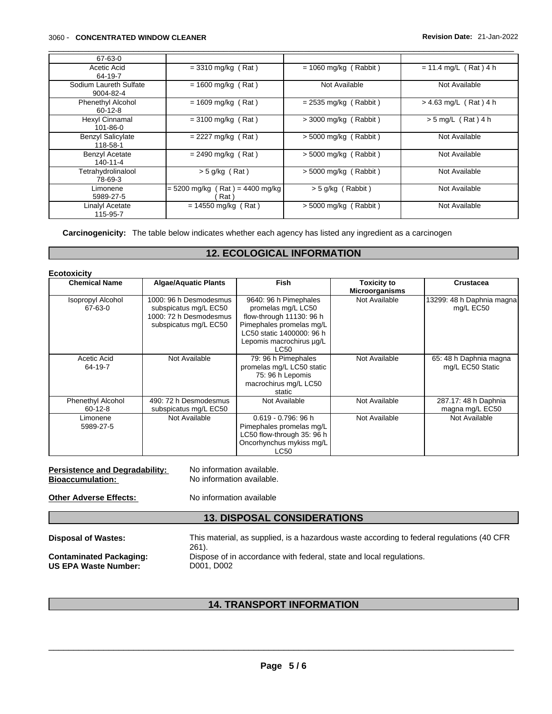#### \_\_\_\_\_\_\_\_\_\_\_\_\_\_\_\_\_\_\_\_\_\_\_\_\_\_\_\_\_\_\_\_\_\_\_\_\_\_\_\_\_\_\_\_\_\_\_\_\_\_\_\_\_\_\_\_\_\_\_\_\_\_\_\_\_\_\_\_\_\_\_\_\_\_\_\_\_\_\_\_\_\_\_\_\_\_\_\_\_\_\_\_\_ 3060 - **CONCENTRATED WINDOW CLEANER Revision Date:** 21-Jan-2022

| 67-63-0                                   |                                          |                         |                         |
|-------------------------------------------|------------------------------------------|-------------------------|-------------------------|
| Acetic Acid<br>64-19-7                    | $=$ 3310 mg/kg (Rat)                     | $= 1060$ mg/kg (Rabbit) | $= 11.4$ mg/L (Rat) 4 h |
| Sodium Laureth Sulfate<br>9004-82-4       | $= 1600$ mg/kg (Rat)                     | Not Available           | Not Available           |
| <b>Phenethyl Alcohol</b><br>$60 - 12 - 8$ | $= 1609$ mg/kg (Rat)                     | $= 2535$ mg/kg (Rabbit) | $> 4.63$ mg/L (Rat) 4 h |
| Hexyl Cinnamal<br>$101 - 86 - 0$          | $=$ 3100 mg/kg (Rat)                     | $>$ 3000 mg/kg (Rabbit) | $> 5$ mg/L (Rat) 4 h    |
| <b>Benzyl Salicylate</b><br>118-58-1      | $= 2227$ mg/kg (Rat)                     | $> 5000$ mg/kg (Rabbit) | Not Available           |
| <b>Benzyl Acetate</b><br>140-11-4         | $= 2490$ mg/kg (Rat)                     | $> 5000$ mg/kg (Rabbit) | Not Available           |
| Tetrahydrolinalool<br>78-69-3             | $>$ 5 g/kg (Rat)                         | $> 5000$ mg/kg (Rabbit) | Not Available           |
| Limonene<br>5989-27-5                     | $= 5200$ mg/kg (Rat) = 4400 mg/kg<br>Rat | $>$ 5 g/kg (Rabbit)     | Not Available           |
| Linalyl Acetate<br>115-95-7               | $= 14550$ mg/kg (Rat)                    | $> 5000$ mg/kg (Rabbit) | Not Available           |

Carcinogenicity: The table below indicates whether each agency has listed any ingredient as a carcinogen

## **12. ECOLOGICAL INFORMATION**

| <b>Chemical Name</b>                  | <b>Algae/Aquatic Plants</b>                                                                        | <b>Fish</b>                                                                                                                                                          | <b>Toxicity to</b><br><b>Microorganisms</b> | <b>Crustacea</b>                           |
|---------------------------------------|----------------------------------------------------------------------------------------------------|----------------------------------------------------------------------------------------------------------------------------------------------------------------------|---------------------------------------------|--------------------------------------------|
| <b>Isopropyl Alcohol</b><br>67-63-0   | 1000: 96 h Desmodesmus<br>subspicatus mg/L EC50<br>1000: 72 h Desmodesmus<br>subspicatus mg/L EC50 | 9640: 96 h Pimephales<br>promelas mg/L LC50<br>flow-through 11130: 96 h<br>Pimephales promelas mg/L<br>LC50 static 1400000: 96 h<br>Lepomis macrochirus µg/L<br>LC50 | Not Available                               | 13299: 48 h Daphnia magna<br>mg/L EC50     |
| Acetic Acid<br>64-19-7                | Not Available                                                                                      | 79: 96 h Pimephales<br>promelas mg/L LC50 static<br>75: 96 h Lepomis<br>macrochirus mg/L LC50<br>static                                                              | Not Available                               | 65: 48 h Daphnia magna<br>mg/L EC50 Static |
| <b>Phenethyl Alcohol</b><br>$60-12-8$ | 490: 72 h Desmodesmus<br>subspicatus mg/L EC50                                                     | Not Available                                                                                                                                                        | Not Available                               | 287.17: 48 h Daphnia<br>magna mg/L EC50    |
| Limonene<br>5989-27-5                 | Not Available                                                                                      | $0.619 - 0.796$ : 96 h<br>Pimephales promelas mg/L<br>LC50 flow-through 35: 96 h<br>Oncorhynchus mykiss mg/L<br><b>LC50</b>                                          | Not Available                               | Not Available                              |

| <b>Persistence and Degradability:</b> | No information available. |
|---------------------------------------|---------------------------|
| <b>Bioaccumulation:</b>               | No information available. |
| <b>Other Adverse Effects:</b>         | No information available  |

## **13. DISPOSAL CONSIDERATIONS**

| <b>Disposal of Wastes:</b>     | This material, as supplied, is a hazardous waste according to federal regulations (40 CFR<br>$261$ . |
|--------------------------------|------------------------------------------------------------------------------------------------------|
| <b>Contaminated Packaging:</b> | Dispose of in accordance with federal, state and local regulations.                                  |
| <b>US EPA Waste Number:</b>    | D001, D002                                                                                           |

## **14. TRANSPORT INFORMATION**